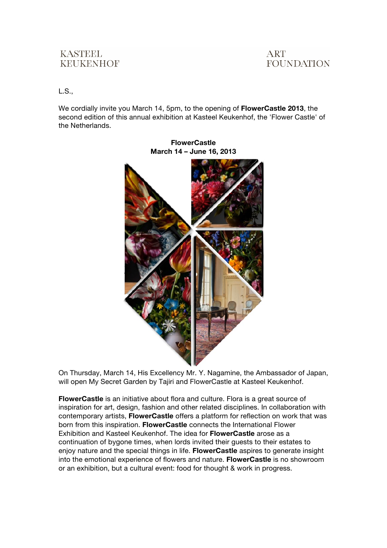## **KASTEEL KEUKENHOF**



L.S.,

We cordially invite you March 14, 5pm, to the opening of **FlowerCastle 2013**, the second edition of this annual exhibition at Kasteel Keukenhof, the 'Flower Castle' of the Netherlands.



**FlowerCastle March 14 – June 16, 2013**

On Thursday, March 14, His Excellency Mr. Y. Nagamine, the Ambassador of Japan, will open My Secret Garden by Tajiri and FlowerCastle at Kasteel Keukenhof.

**FlowerCastle** is an initiative about flora and culture. Flora is a great source of inspiration for art, design, fashion and other related disciplines. In collaboration with contemporary artists, **FlowerCastle** offers a platform for reflection on work that was born from this inspiration. **FlowerCastle** connects the International Flower Exhibition and Kasteel Keukenhof. The idea for **FlowerCastle** arose as a continuation of bygone times, when lords invited their guests to their estates to enjoy nature and the special things in life. **FlowerCastle** aspires to generate insight into the emotional experience of flowers and nature. **FlowerCastle** is no showroom or an exhibition, but a cultural event: food for thought & work in progress.